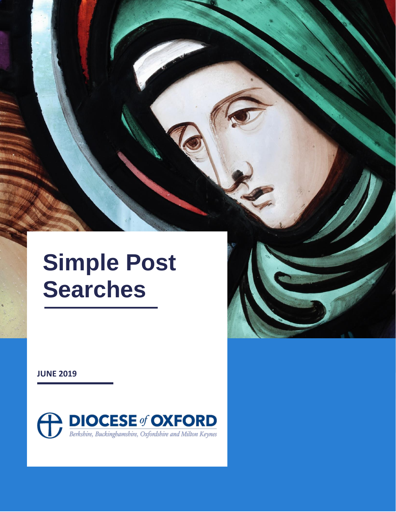# **Simple Post Searches**

**JUNE 2019**



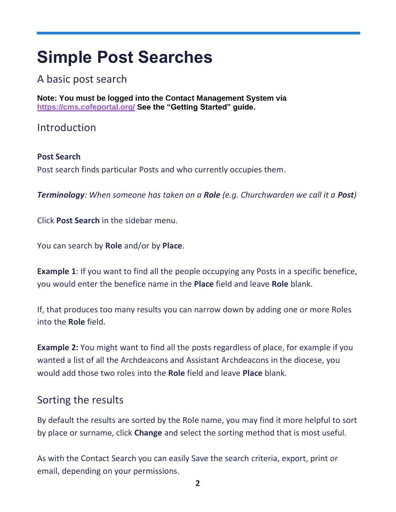## **Simple Post Searches**

#### A basic post search

**Note: You must be logged into the Contact Management System via [https://cms.cofeportal.org/](https://cms.cofeportal.org/S) See the "Getting Started" guide.**

#### Introduction

#### **Post Search**  Post search finds particular Posts and who currently occupies them.

*Terminology: When someone has taken on a Role (e.g. Churchwarden we call it a Post)*

Click **Post Search** in the sidebar menu.

You can search by **Role** and/or by **Place**.

**Example 1:** If you want to find all the people occupying any Posts in a specific benefice, you would enter the benefice name in the **Place** field and leave **Role** blank.

If, that produces too many results you can narrow down by adding one or more Roles into the **Role** field.

**Example 2:** You might want to find all the posts regardless of place, for example if you wanted a list of all the Archdeacons and Assistant Archdeacons in the diocese, you would add those two roles into the **Role** field and leave **Place** blank.

### Sorting the results

By default the results are sorted by the Role name, you may find it more helpful to sort by place or surname, click **Change** and select the sorting method that is most useful.

As with the Contact Search you can easily Save the search criteria, export, print or email, depending on your permissions.